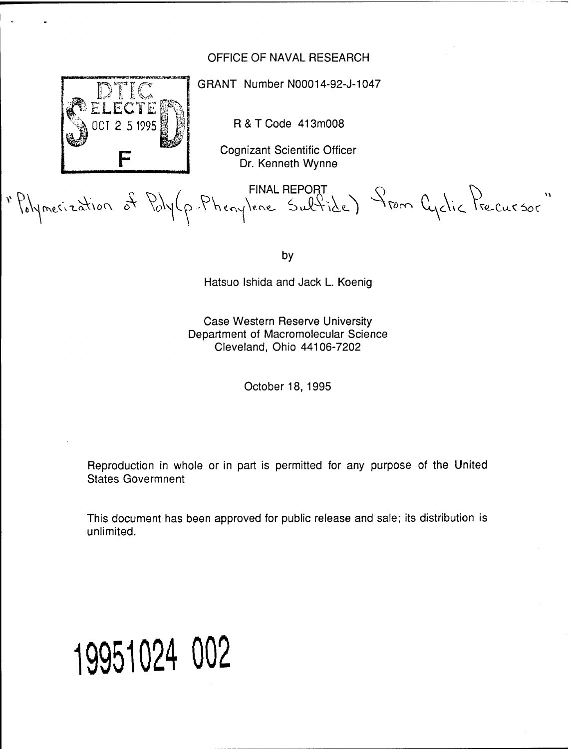# OFFICE OF NAVAL RESEARCH



GRANT Number N00014-92-J-1047

R&TCode 413m008

Cognizant Scientific Officer Dr. Kenneth Wynne

 $\overline{D_1}$   $\overline{D_2}$   $\overline{D_3}$   $\overline{D_4}$   $\overline{D_5}$   $\overline{D_6}$   $\overline{D_7}$   $\overline{D_8}$   $\overline{D_9}$   $\overline{D_1}$   $\overline{D_2}$   $\overline{D_3}$   $\overline{D_4}$ 

 $i$ Tel $C$ u $\zeta$  So $\zeta$ 

by

Hatsuo Ishida and Jack L. Koenig

Case Western Reserve University Department of Macromolecular Science Cleveland, Ohio 44106-7202

October 18, 1995

Reproduction in whole or in part is permitted for any purpose of the United States Govermnent

This document has been approved for public release and sale; its distribution is unlimited.

# **19951024 002**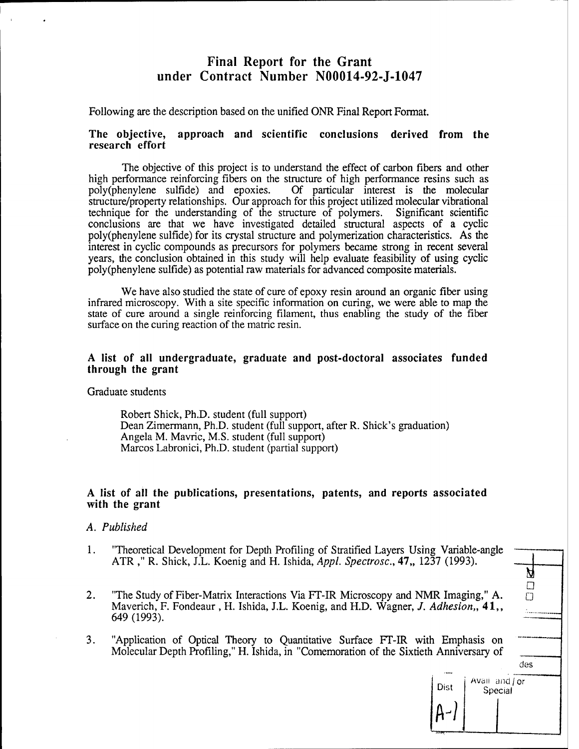# Final Report for the Grant under Contract Number N00014-92-J-1047

Following are the description based on the unified ONR Final Report Format.

#### **The objective, approach and scientific conclusions derived from the research effort**

The objective of this project is to understand the effect of carbon fibers and other high performance reinforcing fibers on the structure of high performance resins such as poly(phenylene sulfide) and epoxies. Of particular interest is the molecular Of particular interest is the molecular structure/property relationships. Our approach for this project utilized molecular vibrational technique for the understanding of the structure of polymers. Significant scientific technique for the understanding of the structure of polymers. conclusions are that we have investigated detailed structural aspects of a cyclic poly(phenylene sulfide) for its crystal structure and polymerization characteristics. As the interest in cyclic compounds as precursors for polymers became strong in recent several years, the conclusion obtained in this study will help evaluate feasibility of using cyclic poly(phenylene sulfide) as potential raw materials for advanced composite materials.

We have also studied the state of cure of epoxy resin around an organic fiber using infrared microscopy. With a site specific information on curing, we were able to map the state of cure around a single reinforcing filament, thus enabling the study of the fiber surface on the curing reaction of the matric resin.

#### **A list of all undergraduate, graduate and post-doctoral associates funded through the grant**

Graduate students

Robert Shick, Ph.D. student (full support) Dean Zimermann, Ph.D. student (full support, after R. Shick's graduation) Angela M. Mavric, M.S. student (full support) Marcos Labronici, Ph.D. student (partial support)

#### **A list of all the publications, presentations, patents, and reports associated with the grant**

#### *A. Published*

- 1. "Theoretical Development for Depth Profiling of Stratified Layers Using Variable-angle ATR ," R. Shick, J.L. Koenig and H. Ishida, *Appl. Spectrosc,* 47" <sup>1237</sup> (1993). \_
- 2. "The Study of Fiber-Matrix Interactions Via FT-IR Microscopy and NMR Imaging," A. Maverich, F. Fondeaur , H. Ishida, J.L. Koenig, and H.D. Wagner, /. *Adhesion,,* 41,, 649 (1993).
- 3. "Application of Optical Theory to Quantitative Surface FT-IR with Emphasis on Molecular Depth Profiling," H. Ishida, in "Comemoration of the Sixtieth Anniversary of

| Й<br>□<br>$\Box$ |  |
|------------------|--|
|                  |  |
| des              |  |
|                  |  |

| Dist | Avail and / or<br>Special |
|------|---------------------------|
|      |                           |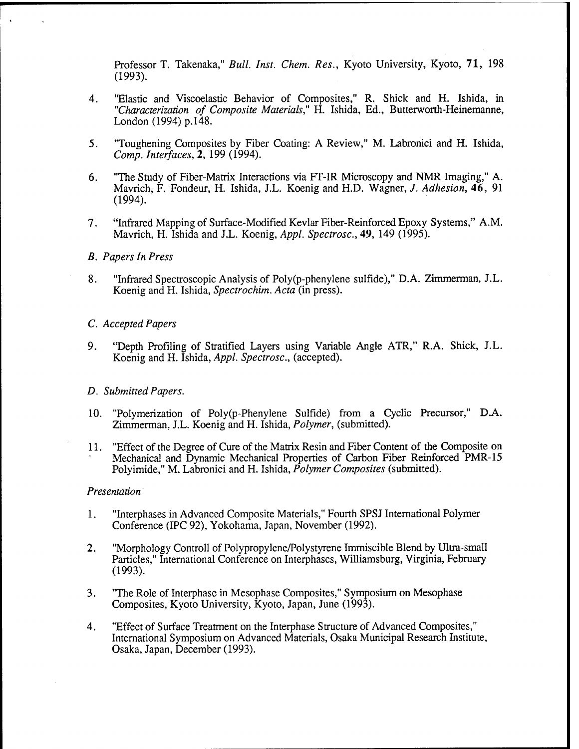Professor T. Takenaka," *Bull. Inst. Chem. Res., Kyoto University, Kyoto, 71, 198* (1993).

- 4. "Elastic and Viscoelastic Behavior of Composites," R. Shick and H. Ishida, in *"Characterization of Composite Materials,"* H. Ishida, Ed., Butterworth-Heinemanne, London (1994) p.148.
- 5. "Toughening Composites by Fiber Coating: A Review," M. Labronici and H. Ishida, *Comp. Interfaces,* 2, 199 (1994).
- 6. "The Study of Fiber-Matrix Interactions via FT-IR Microscopy and NMR Imaging," A. Mavrich, F. Fondeur, H. Ishida, J.L. Koenig and H.D. Wagner, /. *Adhesion,* 46, <sup>91</sup> (1994).
- 7. "Infrared Mapping of Surface-Modified Kevlar Fiber-Reinforced Epoxy Systems," A.M. Mavrich, H. Ishida and J.L. Koenig, *Appl. Spectrosc,* 49, 149 (1995).

#### *B. Papers In Press*

8. "Infrared Spectroscopic Analysis of Poly(p-phenylene sulfide)," D.A. Zimmerman, J.L. Koenig and H. Ishida, *Spectrochim. Acta* (in press).

#### *C. Accepted Papers*

9. "Depth Profiling of Stratified Layers using Variable Angle ATR," R.A. Shick, J.L. Koenig and H. Ishida, *Appl. Spectrosc,* (accepted).

#### *D. Submitted Papers.*

- 10 *.* "Polymerization of Poly(p-Phenylene Sulfide) from a Cyclic Precursor," D.A. Zimmerman, J.L. Koenig and H. Ishida, *Polymer,* (submitted).
- 11 "Effect of the Degree of Cure of the Matrix Resin and Fiber Content of the Composite on Mechanical and Dynamic Mechanical Properties of Carbon Fiber Reinforced PMR-15 Polyimide," M. Labronici and H. Ishida, *Polymer Composites* (submitted).

#### *Presentation*

- 1. "Interphases in Advanced Composite Materials," Fourth SPSJ International Polymer Conference (IPC 92), Yokohama, Japan, November (1992).
- 2. "Morphology Controll of Polypropylene/Polystyrene Immiscible Blend by Ultra-small Particles," International Conference on Interphases, Williamsburg, Virginia, February (1993).
- 3. "The Role of Interphase in Mesophase Composites," Symposium on Mesophase Composites, Kyoto University, Kyoto, Japan, June (1993).
- 4. "Effect of Surface Treatment on the Interphase Structure of Advanced Composites," International Symposium on Advanced Materials, Osaka Municipal Research Institute, Osaka, Japan, December (1993).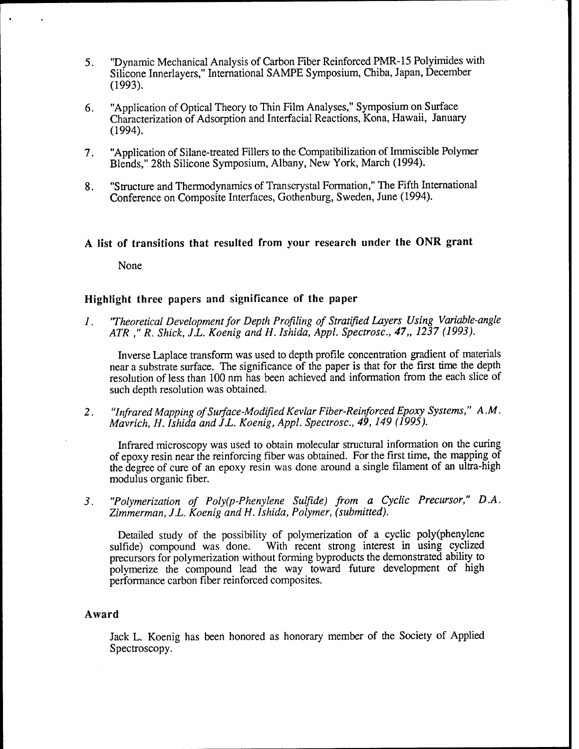- 5. "Dynamic Mechanical Analysis of Carbon Fiber Reinforced PMR-15 Polyimides with Silicone Innerlayers," International SAMPE Symposium, Chiba, Japan, December (1993).
- 6. "Application of Optical Theory to Thin Film Analyses," Symposium on Surface Characterization of Adsorption and Interfacial Reactions, Kona, Hawaii, January (1994).
- 7. "Application of Silane-treated Fillers to the Compatibilization of Immiscible Polymer Blends," 28th Silicone Symposium, Albany, New York, March (1994).
- 8. "Structure and Thermodynamics of Transcrystal Formation," The Fifth International Conference on Composite Interfaces, Gothenburg, Sweden, June (1994).

## **A list of transitions that resulted from your research under the ONR grant**

None

### **Highlight three papers and significance of the paper**

*1. 'Theoretical Development for Depth Profiling of Stratified Layers Using Variable-angle ATR ," R. Shick, J.L. Koenig andH. Ishida, Appl. Spectrosc., 47,, 1237 (1993).*

Inverse Laplace transform was used to depth profile concentration gradient of materials near a substrate surface. The significance of the paper is that for the first time the depth resolution of less than 100 nm has been achieved and information from the each slice of such depth resolution was obtained.

2. *"Infrared Mapping ofSurface-Modified Kevlar Fiber-Reinforced Epoxy Systems," A.M. Mavrich, H. Ishida and J.L. Koenig, Appl. Spectrosc, 49,149 (1995).*

Infrared microscopy was used to obtain molecular structural information on the curing of epoxy resin near the reinforcing fiber was obtained. For the first time, the mapping of the degree of cure of an epoxy resin was done around a single filament of an ultra-high modulus organic fiber.

*3. "Polymerization of Poly(p-Phenylene Sulfide) from a Cyclic Precursor," D.A. Zimmerman, J.L. Koenig and H. Ishida, Polymer, (submitted).*

Detailed study of the possibility of polymerization of a cyclic poly(phenylene sulfide) compound was done. With recent strong interest in using cyclized With recent strong interest in using cyclized precursors for polymerization without forming byproducts the demonstrated ability to polymerize the compound lead the way toward future development of high performance carbon fiber reinforced composites.

#### **Award**

Jack L. Koenig has been honored as honorary member of the Society of Applied Spectroscopy.